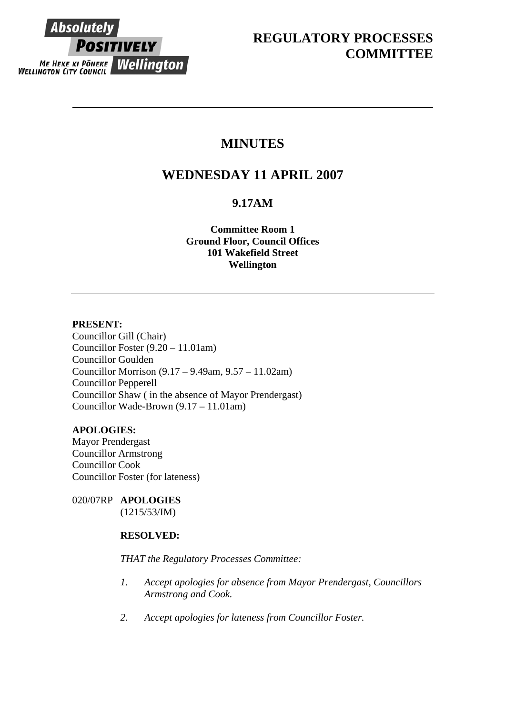

## **MINUTES**

# **WEDNESDAY 11 APRIL 2007**

## **9.17AM**

**Committee Room 1 Ground Floor, Council Offices 101 Wakefield Street Wellington**

#### **PRESENT:**

Councillor Gill (Chair) Councillor Foster (9.20 – 11.01am) Councillor Goulden Councillor Morrison (9.17 – 9.49am, 9.57 – 11.02am) Councillor Pepperell Councillor Shaw ( in the absence of Mayor Prendergast) Councillor Wade-Brown (9.17 – 11.01am)

## **APOLOGIES:**

Mayor Prendergast Councillor Armstrong Councillor Cook Councillor Foster (for lateness)

020/07RP **APOLOGIES**  (1215/53/IM)

## **RESOLVED:**

#### *THAT the Regulatory Processes Committee:*

- *1. Accept apologies for absence from Mayor Prendergast, Councillors Armstrong and Cook.*
- *2. Accept apologies for lateness from Councillor Foster.*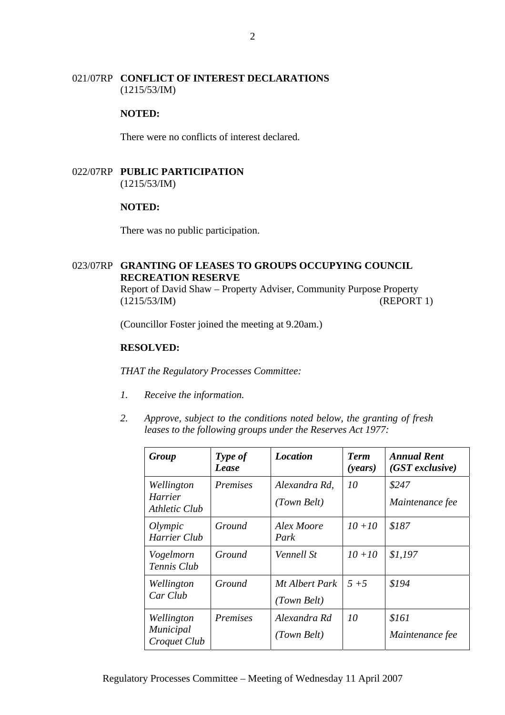#### 021/07RP **CONFLICT OF INTEREST DECLARATIONS** (1215/53/IM)

#### **NOTED:**

There were no conflicts of interest declared.

### 022/07RP **PUBLIC PARTICIPATION** (1215/53/IM)

#### **NOTED:**

There was no public participation.

### 023/07RP **GRANTING OF LEASES TO GROUPS OCCUPYING COUNCIL RECREATION RESERVE**

Report of David Shaw – Property Adviser, Community Purpose Property (1215/53/IM) (REPORT 1)

(Councillor Foster joined the meeting at 9.20am.)

#### **RESOLVED:**

*THAT the Regulatory Processes Committee:* 

- *1. Receive the information.*
- *2. Approve, subject to the conditions noted below, the granting of fresh leases to the following groups under the Reserves Act 1977:*

| Group                                   | Type of<br>Lease | <i>Location</i>               | <b>Term</b><br>( <i>years</i> ) | <b>Annual Rent</b><br>$(GST$ exclusive) |
|-----------------------------------------|------------------|-------------------------------|---------------------------------|-----------------------------------------|
| Wellington<br>Harrier<br>Athletic Club  | <i>Premises</i>  | Alexandra Rd.<br>(Town Belt)  | 10                              | \$247<br>Maintenance fee                |
| Olympic<br>Harrier Club                 | Ground           | Alex Moore<br>Park            | $10 + 10$                       | \$187                                   |
| Vogelmorn<br>Tennis Club                | Ground           | Vennell St                    | $10 + 10$                       | \$1,197                                 |
| Wellington<br>Car Club                  | Ground           | Mt Albert Park<br>(Town Belt) | $5 + 5$                         | \$194                                   |
| Wellington<br>Municipal<br>Croquet Club | Premises         | Alexandra Rd<br>(Town Belt)   | 10                              | \$161<br>Maintenance fee                |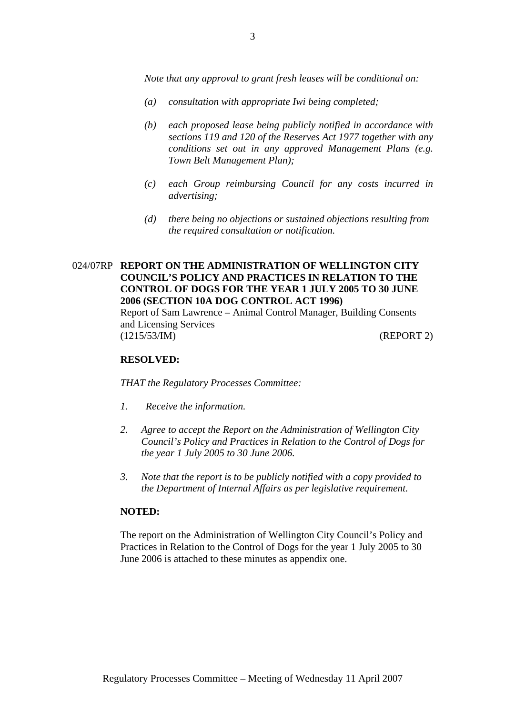*Note that any approval to grant fresh leases will be conditional on:* 

- *(a) consultation with appropriate Iwi being completed;*
- *(b) each proposed lease being publicly notified in accordance with sections 119 and 120 of the Reserves Act 1977 together with any conditions set out in any approved Management Plans (e.g. Town Belt Management Plan);*
- *(c) each Group reimbursing Council for any costs incurred in advertising;*
- *(d) there being no objections or sustained objections resulting from the required consultation or notification.*

#### 024/07RP **REPORT ON THE ADMINISTRATION OF WELLINGTON CITY COUNCIL'S POLICY AND PRACTICES IN RELATION TO THE CONTROL OF DOGS FOR THE YEAR 1 JULY 2005 TO 30 JUNE 2006 (SECTION 10A DOG CONTROL ACT 1996)**  Report of Sam Lawrence – Animal Control Manager, Building Consents

and Licensing Services (1215/53/IM) (REPORT 2)

#### **RESOLVED:**

*THAT the Regulatory Processes Committee:* 

- *1. Receive the information.*
- *2. Agree to accept the Report on the Administration of Wellington City Council's Policy and Practices in Relation to the Control of Dogs for the year 1 July 2005 to 30 June 2006.*
- *3. Note that the report is to be publicly notified with a copy provided to the Department of Internal Affairs as per legislative requirement.*

#### **NOTED:**

The report on the Administration of Wellington City Council's Policy and Practices in Relation to the Control of Dogs for the year 1 July 2005 to 30 June 2006 is attached to these minutes as appendix one.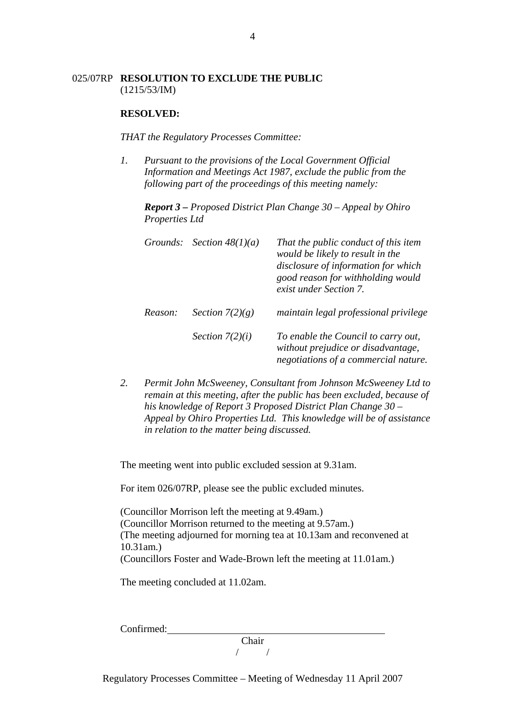#### 025/07RP **RESOLUTION TO EXCLUDE THE PUBLIC**  (1215/53/IM)

#### **RESOLVED:**

*THAT the Regulatory Processes Committee:* 

*1. Pursuant to the provisions of the Local Government Official Information and Meetings Act 1987, exclude the public from the following part of the proceedings of this meeting namely:* 

*Report 3 – Proposed District Plan Change 30 – Appeal by Ohiro Properties Ltd* 

| Grounds: | Section $48(1)(a)$ | That the public conduct of this item<br>would be likely to result in the<br>disclosure of information for which<br>good reason for withholding would<br>exist under Section 7. |
|----------|--------------------|--------------------------------------------------------------------------------------------------------------------------------------------------------------------------------|
| Reason:  | Section $7(2)(g)$  | maintain legal professional privilege                                                                                                                                          |
|          | Section $7(2)(i)$  | To enable the Council to carry out,<br>without prejudice or disadvantage,<br>negotiations of a commercial nature.                                                              |

*2. Permit John McSweeney, Consultant from Johnson McSweeney Ltd to remain at this meeting, after the public has been excluded, because of his knowledge of Report 3 Proposed District Plan Change 30 – Appeal by Ohiro Properties Ltd. This knowledge will be of assistance in relation to the matter being discussed.* 

The meeting went into public excluded session at 9.31am.

For item 026/07RP, please see the public excluded minutes.

(Councillor Morrison left the meeting at 9.49am.) (Councillor Morrison returned to the meeting at 9.57am.) (The meeting adjourned for morning tea at 10.13am and reconvened at 10.31am.) (Councillors Foster and Wade-Brown left the meeting at 11.01am.)

The meeting concluded at 11.02am.

Confirmed:

Chair / /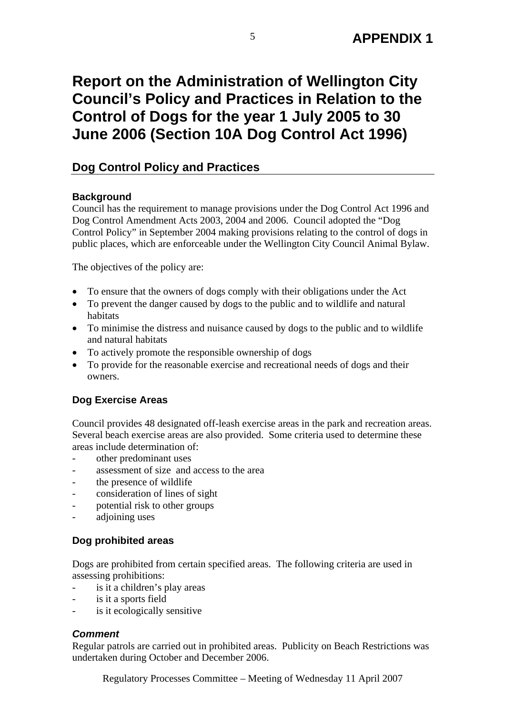# **Report on the Administration of Wellington City Council's Policy and Practices in Relation to the Control of Dogs for the year 1 July 2005 to 30 June 2006 (Section 10A Dog Control Act 1996)**

## **Dog Control Policy and Practices**

## **Background**

Council has the requirement to manage provisions under the Dog Control Act 1996 and Dog Control Amendment Acts 2003, 2004 and 2006. Council adopted the "Dog Control Policy" in September 2004 making provisions relating to the control of dogs in public places, which are enforceable under the Wellington City Council Animal Bylaw.

The objectives of the policy are:

- To ensure that the owners of dogs comply with their obligations under the Act
- To prevent the danger caused by dogs to the public and to wildlife and natural habitats
- To minimise the distress and nuisance caused by dogs to the public and to wildlife and natural habitats
- To actively promote the responsible ownership of dogs
- To provide for the reasonable exercise and recreational needs of dogs and their owners.

## **Dog Exercise Areas**

Council provides 48 designated off-leash exercise areas in the park and recreation areas. Several beach exercise areas are also provided. Some criteria used to determine these areas include determination of:

- other predominant uses
- assessment of size and access to the area
- the presence of wildlife
- consideration of lines of sight
- potential risk to other groups
- adioining uses

## **Dog prohibited areas**

Dogs are prohibited from certain specified areas. The following criteria are used in assessing prohibitions:

- is it a children's play areas
- is it a sports field
- is it ecologically sensitive

## *Comment*

Regular patrols are carried out in prohibited areas. Publicity on Beach Restrictions was undertaken during October and December 2006.

Regulatory Processes Committee – Meeting of Wednesday 11 April 2007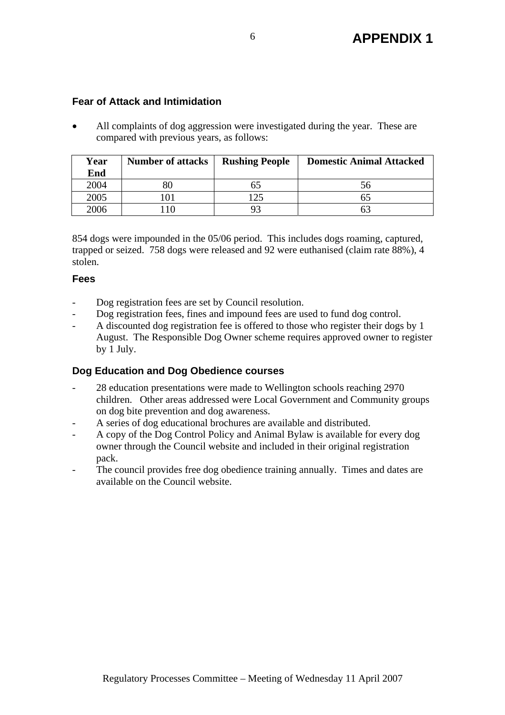## **Fear of Attack and Intimidation**

• All complaints of dog aggression were investigated during the year. These are compared with previous years, as follows:

| Year<br>End | <b>Number of attacks</b> | <b>Rushing People</b> | <b>Domestic Animal Attacked</b> |
|-------------|--------------------------|-----------------------|---------------------------------|
| 2004        |                          |                       | 56                              |
| 2005        | 01                       | 125                   |                                 |
| 2006        |                          |                       |                                 |

854 dogs were impounded in the 05/06 period. This includes dogs roaming, captured, trapped or seized. 758 dogs were released and 92 were euthanised (claim rate 88%), 4 stolen.

## **Fees**

- Dog registration fees are set by Council resolution.
- Dog registration fees, fines and impound fees are used to fund dog control.
- A discounted dog registration fee is offered to those who register their dogs by 1 August. The Responsible Dog Owner scheme requires approved owner to register by 1 July.

## **Dog Education and Dog Obedience courses**

- 28 education presentations were made to Wellington schools reaching 2970 children. Other areas addressed were Local Government and Community groups on dog bite prevention and dog awareness.
- A series of dog educational brochures are available and distributed.
- A copy of the Dog Control Policy and Animal Bylaw is available for every dog owner through the Council website and included in their original registration pack.
- The council provides free dog obedience training annually. Times and dates are available on the Council website.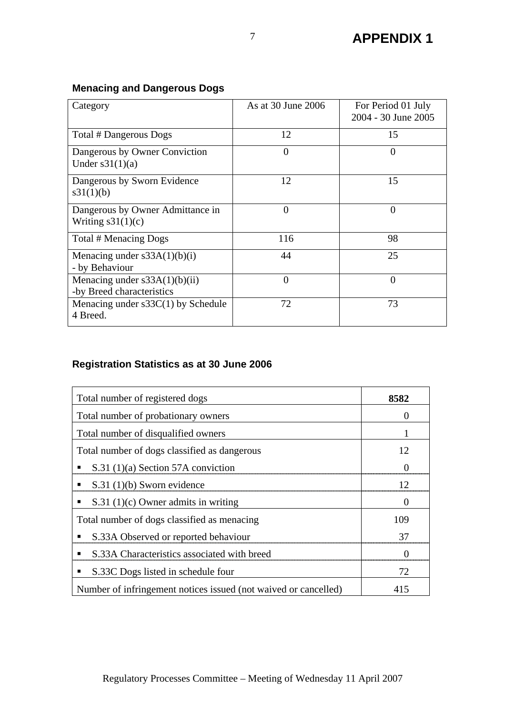## **Menacing and Dangerous Dogs**

| Category                                                     | As at 30 June 2006 | For Period 01 July<br>2004 - 30 June 2005 |
|--------------------------------------------------------------|--------------------|-------------------------------------------|
| Total # Dangerous Dogs                                       | 12                 | 15                                        |
| Dangerous by Owner Conviction<br>Under $s31(1)(a)$           | $\theta$           | 0                                         |
| Dangerous by Sworn Evidence<br>s31(1)(b)                     | 12                 | 15                                        |
| Dangerous by Owner Admittance in<br>Writing $s31(1)(c)$      | $\theta$           | 0                                         |
| Total # Menacing Dogs                                        | 116                | 98                                        |
| Menacing under $s33A(1)(b)(i)$<br>- by Behaviour             | 44                 | 25                                        |
| Menacing under $s33A(1)(b)(ii)$<br>-by Breed characteristics | $\theta$           | $\overline{0}$                            |
| Menacing under $s33C(1)$ by Schedule<br>4 Breed.             | 72                 | 73                                        |

## **Registration Statistics as at 30 June 2006**

| Total number of registered dogs                                 | 8582              |
|-----------------------------------------------------------------|-------------------|
| Total number of probationary owners                             | $\theta$          |
| Total number of disqualified owners                             |                   |
| Total number of dogs classified as dangerous                    | 12                |
| $S.31(1)(a)$ Section 57A conviction<br>п                        |                   |
| $S.31(1)(b)$ Sworn evidence<br>п                                | 12                |
| $S.31(1)(c)$ Owner admits in writing<br>п                       | $\theta$          |
| Total number of dogs classified as menacing                     | 109               |
| S.33A Observed or reported behaviour<br>п                       | 37                |
| S.33A Characteristics associated with breed<br>п                | $\mathbf{\Omega}$ |
| S.33C Dogs listed in schedule four                              | 72                |
| Number of infringement notices issued (not waived or cancelled) | 415               |